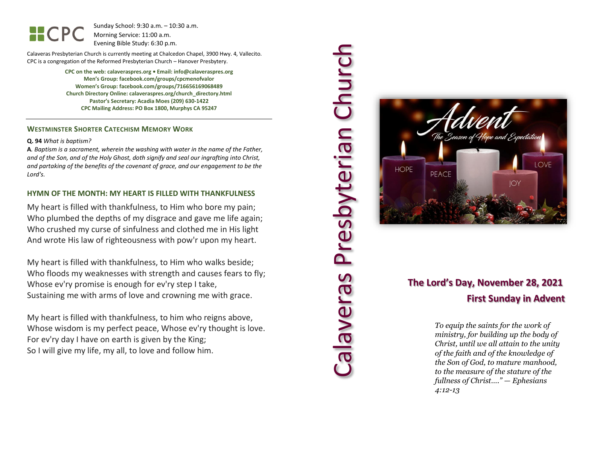Sunday School: 9: 3 0 a.m. – 10:30 a.m. Morning Service: 1 1 :00 a.m. Evening Bible Study: 6: 30 p.m.

Calaveras Presbyterian Church is currently meeting at Chalcedon Chapel, 3900 Hwy. 4, Vallecito. CPC is a congregation of the Reformed Presbyterian Church – Hanover Presbytery.

> **CPC on the web: calaveraspres.org • Email: info@calaveraspres.org Men's Group: facebook.com/groups/cpcmenofvalor Women's Group: facebook.com/groups/716656169068489 Church Directory Online: calaveraspres.org/church \_directory.html Pastor's Secretary: Acadia Moes (209) 630 -1422 CPC Mailing Address: PO Box 1800, Murphys CA 95247**

### **WESTMINSTER SHORTER CATECHISM MEMORY WORK**

#### **Q . 9 4** *What is baptism?*

**A***. Baptism is a sacrament, wherein the washing with water in the name of the Father, and of the Son, and of the Holy Ghost, doth signify and seal our ingrafting into Christ, and partaking of the benefits of the covenant of grace, and our engagement to be the Lord's.*

### **HYMN OF THE MONTH: MY HEART IS FILLED WITH THANKFULNESS**

My heart is filled with thankfulness, to Him who bore my pain; Who plumbed the depths of my disgrace and gave me life again; Who crushed my curse of sinfulness and clothed me in His light And wrote His law of righteousness with pow'r upon my heart.

My heart is filled with thankfulness, to Him who walks beside; Who floods my weaknesses with strength and causes fears to fly; Whose ev'ry promise is enough for ev'ry step I take, Sustaining me with arms of love and crowning me with grace.

My heart is filled with thankfulness, to him who reigns above, Whose wisdom is my perfect peace, Whose ev'ry thought is love. For ev'ry day I have on earth is given by the King; So I will give my life, my all, to love and follow him.



Presbyterian Churc

calaveras

### **The Lord's Day, November 28, 2021 First Sunday in Advent**

*To equip the saints for the work of ministry, for building up the body of Christ, until we all attain to the unity of the faith and of the knowledge of the Son of God, to mature manhood, to the measure of the stature of the fullness of Christ…." — Ephesians 4:12 -13*